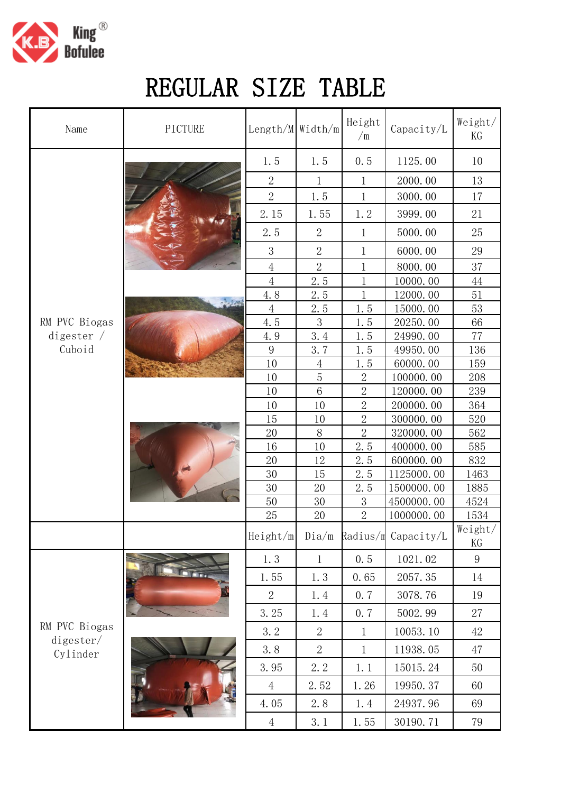

## REGULAR SIZE TABLE

| Name                                   | PICTURE    | Length/M Width/m |                | Height<br>$\sqrt{m}$ | Capacity/L               | Weight/<br>KG   |
|----------------------------------------|------------|------------------|----------------|----------------------|--------------------------|-----------------|
|                                        | $-3.3.000$ | 1.5              | 1.5            | 0.5                  | 1125.00                  | 10              |
|                                        |            | $\overline{2}$   | 1              | 1                    | 2000.00                  | 13              |
|                                        |            | $\overline{2}$   | 1.5            | 1                    | 3000.00                  | 17              |
|                                        |            | 2.15             | 1.55           | 1.2                  | 3999.00                  | 21              |
|                                        |            | 2.5              | $\mathbf{2}$   | 1                    | 5000.00                  | 25              |
|                                        |            | 3                | $\overline{2}$ | $\mathbf 1$          | 6000.00                  | 29              |
|                                        |            | $\overline{4}$   | $\overline{2}$ | $\mathbf 1$          | 8000.00                  | 37              |
|                                        |            | $\overline{4}$   | 2.5            | $\mathbf{1}$         | 10000.00                 | 44              |
|                                        |            | 4.8              | 2.5            | 1                    | 12000.00                 | 51              |
|                                        |            | $\overline{4}$   | 2.5            | 1.5                  | 15000.00                 | 53              |
| RM PVC Biogas                          |            | 4.5              | 3              | 1.5                  | 20250.00                 | 66              |
| digester $/$                           |            | 4.9              | 3.4            | 1.5                  | 24990.00                 | 77              |
| Cuboid                                 |            | $\boldsymbol{9}$ | 3.7            | 1.5                  | 49950.00                 | 136             |
|                                        |            | 10               | $\overline{4}$ | 1.5                  | 60000.00                 | 159             |
|                                        |            | 10               | $\overline{5}$ | $\overline{2}$       | 100000.00                | 208             |
|                                        |            | 10               | $\,6\,$        | $\overline{2}$       | 120000.00                | 239             |
|                                        |            | 10               | 10             | $\overline{2}$       | 200000.00                | 364             |
|                                        |            | 15               | 10             | $\overline{2}$       | 300000.00                | 520             |
|                                        |            | 20               | $8\,$          | $\overline{2}$       | 320000.00                | 562             |
|                                        |            | 16               | 10             | 2.5                  | 400000.00                | 585             |
|                                        |            | 20<br>30         | 12<br>15       | 2.5                  | 600000.00                | 832<br>1463     |
|                                        |            | 30               | 20             | 2.5<br>2.5           | 1125000.00<br>1500000.00 | 1885            |
|                                        |            | 50               | 30             | $\mathfrak{Z}$       | 4500000.00               | 4524            |
|                                        |            | 25               | 20             | $\overline{2}$       | 1000000.00               | 1534            |
|                                        |            | Height/m         | $Di\alpha/m$   | Radius/m             | Capacity/L               | Weight/<br>KG   |
| RM PVC Biogas<br>digester/<br>Cylinder |            | 1.3              | $\mathbf{1}$   | 0.5                  | 1021.02                  | $9\phantom{.0}$ |
|                                        |            | 1.55             | 1.3            | 0.65                 | 2057.35                  | 14              |
|                                        |            | $\overline{2}$   | 1.4            | 0.7                  | 3078.76                  | 19              |
|                                        |            | 3.25             | 1.4            | 0.7                  | 5002.99                  | 27              |
|                                        |            | 3.2              | $\overline{2}$ | 1                    | 10053.10                 | 42              |
|                                        |            | 3.8              | $\overline{2}$ | $\mathbf{1}$         | 11938.05                 | 47              |
|                                        |            | 3.95             | 2.2            | 1.1                  | 15015.24                 | 50              |
|                                        |            | $\overline{4}$   | 2.52           | 1.26                 | 19950.37                 | 60              |
|                                        |            | 4.05             | $2.\,8$        | 1.4                  | 24937.96                 | 69              |
|                                        |            | $\overline{4}$   | 3.1            | 1.55                 | 30190.71                 | 79              |